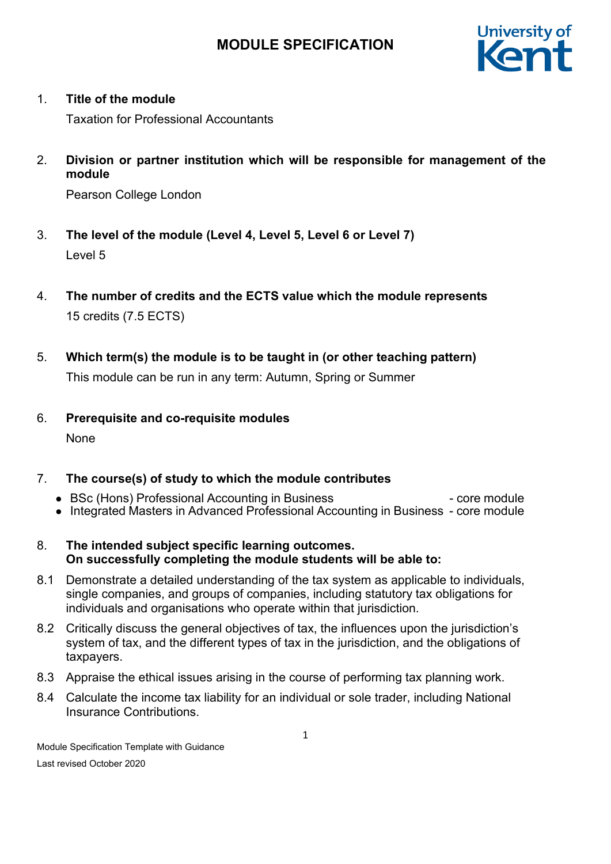

## 1. **Title of the module**

Taxation for Professional Accountants

2. **Division or partner institution which will be responsible for management of the module**

Pearson College London

- 3. **The level of the module (Level 4, Level 5, Level 6 or Level 7)** Level 5
- 4. **The number of credits and the ECTS value which the module represents**  15 credits (7.5 ECTS)
- 5. **Which term(s) the module is to be taught in (or other teaching pattern)** This module can be run in any term: Autumn, Spring or Summer
- 6. **Prerequisite and co-requisite modules** None

## 7. **The course(s) of study to which the module contributes**

- BSc (Hons) Professional Accounting in Business core module
- Integrated Masters in Advanced Professional Accounting in Business core module
- 8. **The intended subject specific learning outcomes. On successfully completing the module students will be able to:**
- 8.1 Demonstrate a detailed understanding of the tax system as applicable to individuals, single companies, and groups of companies, including statutory tax obligations for individuals and organisations who operate within that jurisdiction.
- 8.2 Critically discuss the general objectives of tax, the influences upon the jurisdiction's system of tax, and the different types of tax in the jurisdiction, and the obligations of taxpayers.
- 8.3 Appraise the ethical issues arising in the course of performing tax planning work.
- 8.4 Calculate the income tax liability for an individual or sole trader, including National Insurance Contributions.

Module Specification Template with Guidance Last revised October 2020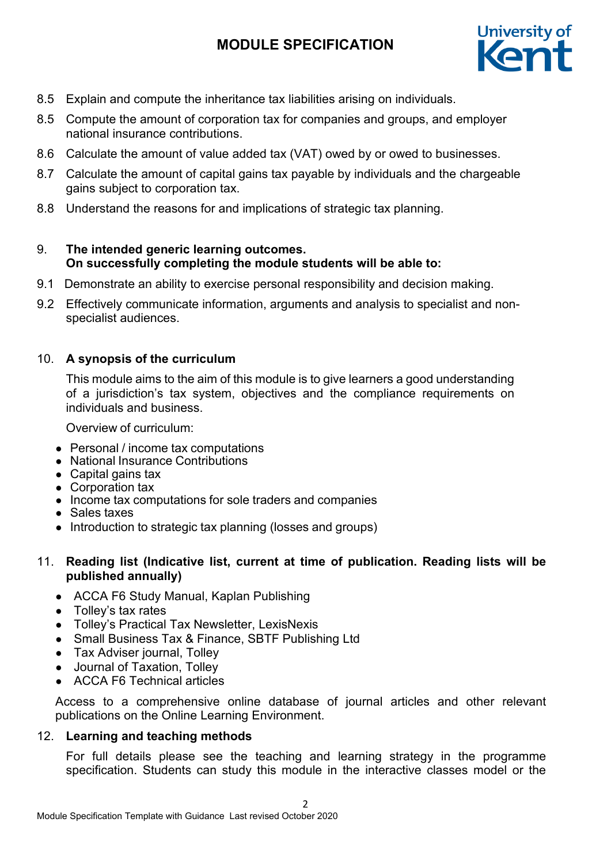# **MODULE SPECIFICATION**



- 8.5 Explain and compute the inheritance tax liabilities arising on individuals.
- 8.5 Compute the amount of corporation tax for companies and groups, and employer national insurance contributions.
- 8.6 Calculate the amount of value added tax (VAT) owed by or owed to businesses.
- 8.7 Calculate the amount of capital gains tax payable by individuals and the chargeable gains subject to corporation tax.
- 8.8 Understand the reasons for and implications of strategic tax planning.
- 9. **The intended generic learning outcomes. On successfully completing the module students will be able to:**
- 9.1 Demonstrate an ability to exercise personal responsibility and decision making.
- 9.2 Effectively communicate information, arguments and analysis to specialist and nonspecialist audiences.

## 10. **A synopsis of the curriculum**

This module aims to the aim of this module is to give learners a good understanding of a jurisdiction's tax system, objectives and the compliance requirements on individuals and business.

Overview of curriculum:

- Personal / income tax computations
- National Insurance Contributions
- Capital gains tax
- Corporation tax
- Income tax computations for sole traders and companies
- Sales taxes
- Introduction to strategic tax planning (losses and groups)
- 11. **Reading list (Indicative list, current at time of publication. Reading lists will be published annually)**
	- ACCA F6 Study Manual, Kaplan Publishing
	- Tolley's tax rates
	- Tolley's Practical Tax Newsletter, LexisNexis
	- Small Business Tax & Finance, SBTF Publishing Ltd
	- Tax Adviser journal, Tolley
	- Journal of Taxation, Tolley
	- ACCA F6 Technical articles

Access to a comprehensive online database of journal articles and other relevant publications on the Online Learning Environment.

## 12. **Learning and teaching methods**

For full details please see the teaching and learning strategy in the programme specification. Students can study this module in the interactive classes model or the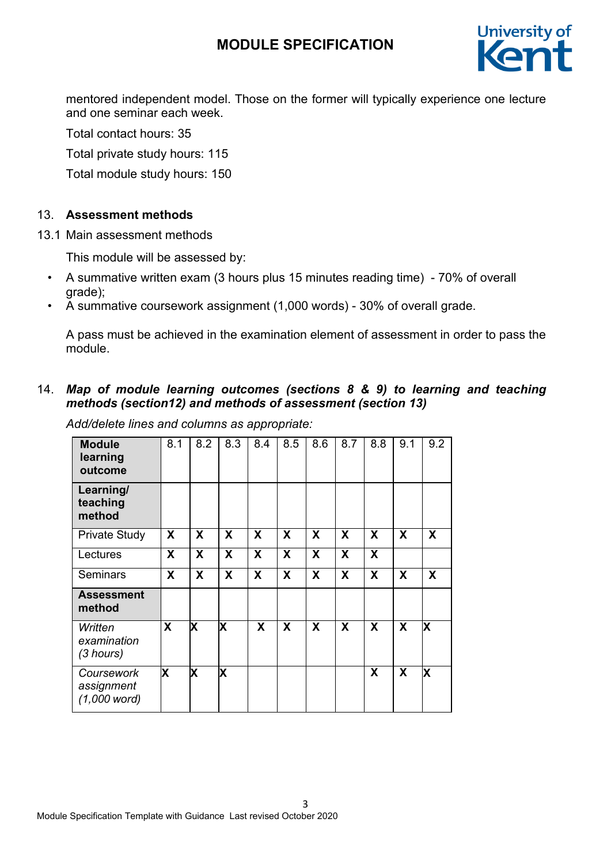# **MODULE SPECIFICATION**



mentored independent model. Those on the former will typically experience one lecture and one seminar each week.

Total contact hours: 35

Total private study hours: 115

Total module study hours: 150

## 13. **Assessment methods**

13.1 Main assessment methods

This module will be assessed by:

- A summative written exam (3 hours plus 15 minutes reading time) 70% of overall grade);
- A summative coursework assignment (1,000 words) 30% of overall grade.

A pass must be achieved in the examination element of assessment in order to pass the module.

## 14. *Map of module learning outcomes (sections 8 & 9) to learning and teaching methods (section12) and methods of assessment (section 13)*

| <b>Module</b><br>learning<br>outcome       | 8.1 | 8.2                       | 8.3 | 8.4 | 8.5 | 8.6 | 8.7 | 8.8 | 9.1                       | 9.2         |
|--------------------------------------------|-----|---------------------------|-----|-----|-----|-----|-----|-----|---------------------------|-------------|
| Learning/<br>teaching<br>method            |     |                           |     |     |     |     |     |     |                           |             |
| <b>Private Study</b>                       | X   | $\boldsymbol{\mathsf{X}}$ | X   | X   | X   | X   | X   | X   | $\boldsymbol{\mathsf{X}}$ | X           |
| Lectures                                   | X   | X                         | X   | X   | X   | X   | X   | X   |                           |             |
| <b>Seminars</b>                            | X   | $\boldsymbol{\mathsf{X}}$ | X   | X   | X   | X   | X   | X   | X                         | $\mathbf x$ |
| <b>Assessment</b><br>method                |     |                           |     |     |     |     |     |     |                           |             |
| Written<br>examination<br>(3 hours)        | X   | X                         | X   | X   | X   | X   | X   | X   | X                         | X           |
| Coursework<br>assignment<br>$(1,000$ word) | X   | X                         | X.  |     |     |     |     | X   | X                         | X           |

*Add/delete lines and columns as appropriate:*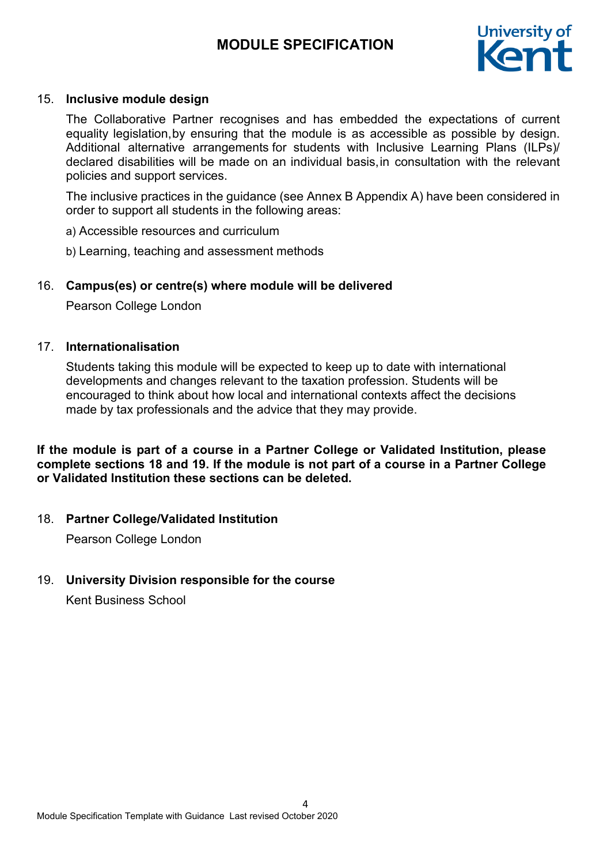# **MODULE SPECIFICATION**



#### 15. **Inclusive module design**

The Collaborative Partner recognises and has embedded the expectations of current equality legislation,by ensuring that the module is as accessible as possible by design. Additional alternative arrangements for students with Inclusive Learning Plans (ILPs)/ declared disabilities will be made on an individual basis,in consultation with the relevant policies and support services.

The inclusive practices in the guidance (see Annex B Appendix A) have been considered in order to support all students in the following areas:

a) Accessible resources and curriculum

b) Learning, teaching and assessment methods

#### 16. **Campus(es) or centre(s) where module will be delivered**

Pearson College London

#### 17. **Internationalisation**

Students taking this module will be expected to keep up to date with international developments and changes relevant to the taxation profession. Students will be encouraged to think about how local and international contexts affect the decisions made by tax professionals and the advice that they may provide.

**If the module is part of a course in a Partner College or Validated Institution, please complete sections 18 and 19. If the module is not part of a course in a Partner College or Validated Institution these sections can be deleted.**

## 18. **Partner College/Validated Institution**

Pearson College London

## 19. **University Division responsible for the course**

Kent Business School